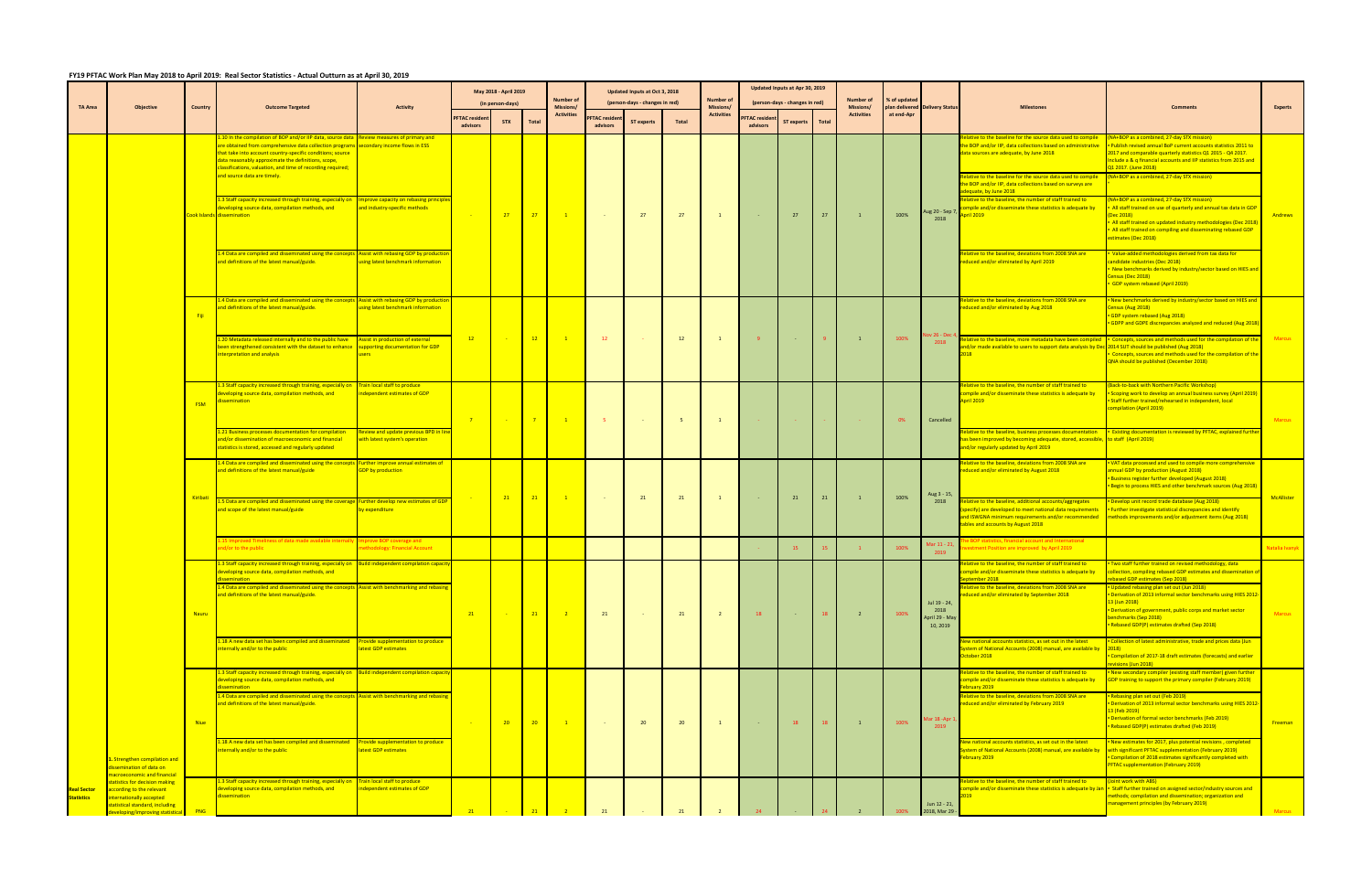## **FY19 PFTAC Work Plan May 2018 to April 2019: Real Sector Statistics ‐ Actual Outturn as at April 30, 2019**

| <b>TA Area</b>                          | <b>Objective</b>                                                                                                                                              | Country     | <b>Outcome Targeted</b>                                                                                                                                                                                                                                                                                                                                               | <b>Activity</b>                                                                             |                                 | May 2018 - April 2019<br>(in person-days) |                 | Number of<br>Missions/ |                                  | Updated Inputs at Oct 3, 2018<br>(person-days - changes in red) |                | Number of<br>Missions/ |                                  | Updated Inputs at Apr 30, 2019<br>(person-days - changes in red) |       | Number of<br>Missions/ | % of updated | plan delivered Delivery Status                     |                                                                                                                                                                                                                                                                                                                              |                                                                                                                                                                                                                                                                                                                                                                                                                                          | <b>Experts</b> |
|-----------------------------------------|---------------------------------------------------------------------------------------------------------------------------------------------------------------|-------------|-----------------------------------------------------------------------------------------------------------------------------------------------------------------------------------------------------------------------------------------------------------------------------------------------------------------------------------------------------------------------|---------------------------------------------------------------------------------------------|---------------------------------|-------------------------------------------|-----------------|------------------------|----------------------------------|-----------------------------------------------------------------|----------------|------------------------|----------------------------------|------------------------------------------------------------------|-------|------------------------|--------------|----------------------------------------------------|------------------------------------------------------------------------------------------------------------------------------------------------------------------------------------------------------------------------------------------------------------------------------------------------------------------------------|------------------------------------------------------------------------------------------------------------------------------------------------------------------------------------------------------------------------------------------------------------------------------------------------------------------------------------------------------------------------------------------------------------------------------------------|----------------|
|                                         |                                                                                                                                                               |             |                                                                                                                                                                                                                                                                                                                                                                       |                                                                                             | <b>FTAC</b> residen<br>advisors | <b>STX</b>                                | Total           | <b>Activities</b>      | <b>PFTAC</b> resider<br>advisors | <b>ST experts</b>                                               | <b>Total</b>   | <b>Activities</b>      | <b>PFTAC residen</b><br>advisors | <b>ST experts</b>                                                | Total | <b>Activities</b>      | at end-Apr   |                                                    |                                                                                                                                                                                                                                                                                                                              |                                                                                                                                                                                                                                                                                                                                                                                                                                          |                |
|                                         |                                                                                                                                                               |             | 10 In the compilation of BOP and/or IIP data, source data<br>are obtained from comprehensive data collection programs secondary income flows in ESS<br>hat take into account country-specific conditions; source<br>data reasonably approximate the definitions, scope,<br>classifications, valuation, and time of recording required;<br>and source data are timely. | Review measures of primary and                                                              |                                 |                                           |                 |                        |                                  |                                                                 |                |                        |                                  |                                                                  |       |                        |              |                                                    | Relative to the baseline for the source data used to compile<br>the BOP and/or IIP, data collections based on administrative<br>data sources are adequate, by June 2018<br>elative to the baseline for the source data used to compile<br>the BOP and/or IIP, data collections based on surveys are<br>dequate, by June 2018 | (NA+BOP as a combined, 27-day STX mission)<br>Publish revised annual BoP current accounts statistics 2011 to<br>2017 and comparable quarterly statistics Q1 2015 - Q4 2017.<br>Include a & q financial accounts and IIP statistics from 2015 and<br>Q1 2017. (June 2018)<br>(NA+BOP as a combined, 27-day STX mission)                                                                                                                   |                |
|                                         |                                                                                                                                                               |             | Staff capacity increased through training, especially on Improve capacity on rebasing principl.<br>eveloping source data, compilation methods, and<br>Cook Islands dissemination                                                                                                                                                                                      | and industry-specific methods                                                               |                                 | 27                                        | 27              | $\mathbf{1}$           |                                  | 27                                                              | 27             |                        |                                  | 27                                                               | 27    | $\mathbf{1}$           | 100%         | Aug 20 - Sep 7,<br>2018                            | Relative to the baseline, the number of staff trained to<br>ompile and/or disseminate these statistics is adequate by<br>April 2019                                                                                                                                                                                          | NA+BOP as a combined, 27-day STX mission)<br>All staff trained on use of quarterly and annual tax data in GDF<br>Dec 2018)<br>All staff trained on updated industry methodologies (Dec 2018)<br>All staff trained on compiling and disseminating rebased GDP<br>estimates (Dec 2018)                                                                                                                                                     | Andrews        |
|                                         |                                                                                                                                                               |             | 4 Data are compiled and disseminated using the concepts.<br>and definitions of the latest manual/guide.                                                                                                                                                                                                                                                               | Assist with rebasing GDP by productional<br>sing latest benchmark information               |                                 |                                           |                 |                        |                                  |                                                                 |                |                        |                                  |                                                                  |       |                        |              |                                                    | elative to the baseline, deviations from 2008 SNA are<br>educed and/or eliminated by April 2019                                                                                                                                                                                                                              | Value-added methodologies derived from tax data for<br>andidate industries (Dec 2018)<br>New benchmarks derived by industry/sector based on HIES and<br>Census (Dec 2018)<br>GDP system rebased (April 2019)                                                                                                                                                                                                                             |                |
|                                         |                                                                                                                                                               | Fiji        | 4 Data are compiled and disseminated using the concepts Assist with rebasing GDP by productio<br>and definitions of the latest manual/guide.                                                                                                                                                                                                                          | sing latest benchmark information                                                           |                                 |                                           |                 |                        |                                  |                                                                 |                |                        |                                  |                                                                  |       |                        |              | lov 26 - Dec                                       | elative to the baseline, deviations from 2008 SNA are<br>reduced and/or eliminated by Aug 2018                                                                                                                                                                                                                               | New benchmarks derived by industry/sector based on HIES and<br>Census (Aug 2018)<br>GDP system rebased (Aug 2018)<br>GDPP and GDPE discrepancies analyzed and reduced (Aug 2018)                                                                                                                                                                                                                                                         |                |
|                                         |                                                                                                                                                               |             | .20 Metadata released internally and to the public have<br>been strengthened consistent with the dataset to enhance supporting documentation for GDP<br>nterpretation and analysis                                                                                                                                                                                    | Assist in production of external                                                            | 12                              |                                           | 12              | $\blacksquare$ 1       | 12                               |                                                                 | 12             | $\mathbf{1}$           | -9                               |                                                                  |       | $\mathbf{1}$           | 100%         | 2018                                               | elative to the baseline, more metadata have been compiled<br>nd/or made available to users to support data analysis by Dec 2014 SUT should be published (Aug 2018)                                                                                                                                                           | Concepts, sources and methods used for the compilation of th<br>Concepts, sources and methods used for the compilation of the<br>QNA should be published (December 2018)                                                                                                                                                                                                                                                                 | <b>Marcus</b>  |
|                                         |                                                                                                                                                               | <b>FSM</b>  | .3 Staff capacity increased through training, especially on<br>eveloping source data, compilation methods, and<br>issemination                                                                                                                                                                                                                                        | Train local staff to produce<br>ndependent estimates of GDP                                 | $\overline{7}$                  |                                           | $-7$            | $\mathbf{1}$           | $-5$                             | <b>Contract</b>                                                 | 5 <sup>7</sup> | $\mathbf{1}$           |                                  |                                                                  |       |                        | 0%           | Cancelled                                          | elative to the baseline, the number of staff trained to<br>compile and/or disseminate these statistics is adequate by<br>April 2019                                                                                                                                                                                          | <b>Back-to-back with Northern Pacific Workshop)</b><br><b>Scoping work to develop an annual business survey (April 2019)</b><br>Staff further trained/rehearsed in independent, local<br>ompilation (April 2019)                                                                                                                                                                                                                         | <b>Marcus</b>  |
|                                         |                                                                                                                                                               |             | 21 Business processes documentation for compilation<br>and/or dissemination of macroeconomic and financial<br>statistics is stored, accessed and regularly updated                                                                                                                                                                                                    | eview and update previous BPD in li<br>with latest system's operation                       |                                 |                                           |                 |                        |                                  |                                                                 |                |                        |                                  |                                                                  |       |                        |              |                                                    | Relative to the baseline, business processes documentation<br>has been improved by becoming adequate, stored, accessible, to staff (April 2019)<br>and/or regularly updated by April 2019                                                                                                                                    | Existing documentation is reviewed by PFTAC, explained furth                                                                                                                                                                                                                                                                                                                                                                             |                |
|                                         |                                                                                                                                                               |             | 4 Data are compiled and disseminated using the concept<br>and definitions of the latest manual/guide                                                                                                                                                                                                                                                                  | Further improve annual estimates of<br><b>GDP</b> by production                             |                                 |                                           |                 |                        |                                  |                                                                 |                |                        |                                  |                                                                  |       |                        |              | Aug 3 - 15,                                        | elative to the baseline, deviations from 2008 SNA are<br>reduced and/or eliminated by August 2018                                                                                                                                                                                                                            | VAT data processed and used to compile more comprehensive<br>annual GDP by production (August 2018)<br><b>Business register further developed (August 2018)</b><br><b>Begin to process HIES and other benchmark sources (Aug 2018)</b>                                                                                                                                                                                                   |                |
|                                         |                                                                                                                                                               | Kiribati    | .5 Data are compiled and disseminated using the coverage<br>and scope of the latest manual/guide                                                                                                                                                                                                                                                                      | <b>Further develop new estimates of GD</b><br>by expenditure                                |                                 | 21                                        | $-21$           | $\blacksquare$         | $\sim 100$                       | 21                                                              | 21             |                        | <b>College</b>                   | 21                                                               | 21    | $\mathbf{1}$           | 100%         | 2018                                               | elative to the baseline, additional accounts/aggregates<br>specify) are developed to meet national data requirements<br>tables and accounts by August 2018                                                                                                                                                                   | Develop unit record trade database (Aug 2018)<br><b>Further investigate statistical discrepancies and identify</b><br>and ISWGNA minimum requirements and/or recommended Imethods improvements and/or adjustment items (Aug 2018)                                                                                                                                                                                                        | McAllister     |
|                                         |                                                                                                                                                               |             | 5 Improved Timeliness of data made available interr<br>nd/or to the public                                                                                                                                                                                                                                                                                            | prove BOP coverage and<br>ethodology: Financial Account                                     |                                 |                                           |                 |                        |                                  |                                                                 |                |                        |                                  | 15                                                               |       | $-1$                   | 100%         | Mar 11 - 21,                                       | BOP statistics, financial account and International<br>estment Position are improved by April 2019                                                                                                                                                                                                                           |                                                                                                                                                                                                                                                                                                                                                                                                                                          | Vatalia Ivanyk |
|                                         |                                                                                                                                                               | Nauru       | 3 Staff capacity increased through training, especially on <b>Build independent compilation capaci</b><br>leveloping source data, compilation methods, and<br>ssemination<br>4 Data are compiled and disseminated using the concepts Assist with benchmarking and rebasing<br>and definitions of the latest manual/guide.                                             |                                                                                             | 21                              |                                           | $-21$           | $\frac{2}{2}$          | 21                               | <b>Contract</b>                                                 | 21             | $\overline{2}$         | 18                               | <b>Contract</b>                                                  | 18    | $\overline{2}$         | 100%         | Jul 19 - 24,<br>2018<br>April 29 - May<br>10, 2019 | ative to the baseline, the number of staff trained to<br>ompile and/or disseminate these statistics is adequate by<br>ptember 2018<br>Relative to the baseline, deviations from 2008 SNA are<br>duced and/or eliminated by September 2018                                                                                    | Two staff further trained on revised methodology, data<br>collection, compiling rebased GDP estimates and dissemination of<br>rebased GDP estimates (Sep 2018)<br>Updated rebasing plan set out (Jun 2018)<br>Derivation of 2013 informal sector benchmarks using HIES 2012-<br>13 (Jun 2018)<br>Derivation of government, public corps and market sector<br><b>Jenchmarks (Sep 2018)</b><br>Rebased GDP(P) estimates drafted (Sep 2018) | <b>Marcus</b>  |
|                                         |                                                                                                                                                               |             | 18 A new data set has been compiled and disseminated<br>nternally and/or to the public                                                                                                                                                                                                                                                                                | Provide supplementation to produce<br>atest GDP estimates                                   |                                 |                                           |                 |                        |                                  |                                                                 |                |                        |                                  |                                                                  |       |                        |              |                                                    | New national accounts statistics, as set out in the latest<br>System of National Accounts (2008) manual, are available by 2018)<br>October 2018                                                                                                                                                                              | Collection of latest administrative, trade and prices data (Jun<br>Compilation of 2017-18 draft estimates (forecasts) and earlier<br>visions (Jun 2018)                                                                                                                                                                                                                                                                                  |                |
|                                         |                                                                                                                                                               |             | .3 Staff capacity increased through training, especially on<br>leveloping source data, compilation methods, and<br>ssemination<br>4 Data are compiled and disseminated using the concepts<br>and definitions of the latest manual/guide.                                                                                                                              | <b>Build independent compilation capacit</b><br><b>Assist with benchmarking and rebasin</b> |                                 |                                           |                 |                        |                                  |                                                                 |                |                        |                                  |                                                                  |       |                        |              |                                                    | elative to the baseline, the number of staff trained to<br>ompile and/or disseminate these statistics is adequate by<br>ebruary 2019<br>Relative to the baseline, deviations from 2008 SNA are<br>reduced and/or eliminated by February 2019                                                                                 | New secondary compiler (existing staff member) given further<br>GDP training to support the primary compiler (February 2019)<br>Rebasing plan set out (Feb 2019)<br>Derivation of 2013 informal sector benchmarks using HIES 2012                                                                                                                                                                                                        |                |
|                                         |                                                                                                                                                               | <b>Niue</b> |                                                                                                                                                                                                                                                                                                                                                                       |                                                                                             |                                 | 20 <sup>°</sup>                           | 20 <sup>2</sup> | $\blacksquare$ 1       |                                  | 20                                                              | 20             | <sup>1</sup>           |                                  | 18                                                               | 18    | $\mathbf{1}$           | 100%         | Mar 18 - Apr 1<br>2019                             |                                                                                                                                                                                                                                                                                                                              | <mark>13 (Feb 2019)</mark><br>Derivation of formal sector benchmarks (Feb 2019)<br>Rebased GDP(P) estimates drafted (Feb 2019)                                                                                                                                                                                                                                                                                                           | Freeman        |
|                                         | 1. Strengthen compilation and<br>dissemination of data on<br>nacroeconomic and financial                                                                      |             | 1.18 A new data set has been compiled and disseminated<br>nternally and/or to the public                                                                                                                                                                                                                                                                              | Provide supplementation to produce<br>atest GDP estimates                                   |                                 |                                           |                 |                        |                                  |                                                                 |                |                        |                                  |                                                                  |       |                        |              |                                                    | New national accounts statistics, as set out in the latest<br>System of National Accounts (2008) manual, are available by vith significant PFTAC supplementation (February 2019)<br>February 2019                                                                                                                            | New estimates for 2017, plus potential revisions, completed<br>Compilation of 2018 estimates significantly completed with<br><b>PFTAC supplementation (February 2019)</b>                                                                                                                                                                                                                                                                |                |
| <b>Real Sector</b><br><b>Statistics</b> | tatistics for decision making<br>according to the relevant<br>internationally accepted<br>statistical standard, including<br>developing/improving statistical | <b>PNG</b>  | 3 Staff capacity increased through training, especially on<br>leveloping source data, compilation methods, and<br>dissemination                                                                                                                                                                                                                                       | Train local staff to produce<br>ndependent estimates of GDP                                 | 21                              |                                           |                 |                        |                                  |                                                                 |                |                        |                                  |                                                                  |       |                        |              | Jun 12 - 21,<br>2018, Mar 29                       | elative to the baseline, the number of staff trained to                                                                                                                                                                                                                                                                      | Joint work with ABS)<br>ompile and/or disseminate these statistics is adequate by Jan   Staff further trained on assigned sector/industry sources and<br>nethods; compilation and dissemination; organization and<br>management principles (by February 2019)                                                                                                                                                                            | <b>Marcus</b>  |